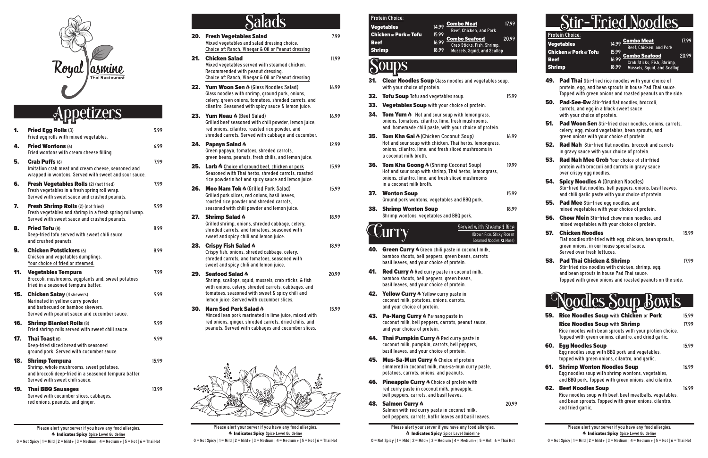

### etizers

| 1.  | Fried Egg Rolls (3)<br>Fried egg rolls with mixed vegetables.                                                                                                | 5.99  |
|-----|--------------------------------------------------------------------------------------------------------------------------------------------------------------|-------|
| 4.  | <b>Fried Wontons (6)</b><br>Fried wontons with cream cheese filling.                                                                                         | 6.99  |
| 5.  | <b>Crab Puffs (6)</b><br>Imitation crab meat and cream cheese, seasoned and<br>wrapped in wontons. Served with sweet and sour sauce.                         | 7.99  |
| 6.  | Fresh Vegetables Rolls (2) (not fried)<br>Fresh vegetables in a fresh spring roll wrap.<br>Served with sweet sauce and crushed peanuts.                      | 7.99  |
| 7.  | Fresh Shrimp Rolls (2) (not fried)<br>Fresh vegetables and shrimp in a fresh spring roll wrap.<br>Served with sweet sauce and crushed peanuts.               | 9.99  |
| 8.  | <b>Fried Tofu (8)</b><br>Deep-fried tofu served with sweet chili sauce<br>and crushed peanuts.                                                               | 8.99  |
| 9.  | <b>Chicken Potstickers (6)</b><br>Chicken and vegetables dumplings.<br>Your choice of fried or steamed.                                                      | 8.99  |
|     |                                                                                                                                                              |       |
| 11. | <b>Vegetables Tempura</b><br>Broccoli, mushrooms, eggplants and, sweet potatoes<br>fried in a seasoned tempura batter.                                       | 7.99  |
| 15. | <b>Chicken Satay (4 skewers)</b><br>Marinated in yellow curry powder<br>and barbecued on bamboo skewers.<br>Served with peanut sauce and cucumber sauce.     | 9.99  |
| 16. | <b>Shrimp Blanket Rolls (8)</b><br>Fried shrimp rolls served with sweet chili sauce.                                                                         | 9.99  |
| 17. | <b>Thai Toast (8)</b><br>Deep-fried sliced bread with seasoned<br>ground pork. Served with cucumber sauce.                                                   | 9.99  |
| 18. | <b>Shrimp Tempura</b><br>Shrimp, whole mushrooms, sweet potatoes,<br>and broccoli deep-fried in a seasoned tempura batter.<br>Served with sweet chili sauce. | 15.99 |

Please alert your server if you have any food allergies.  $\Lambda$  Indicates Spicy Spice Level Guideline  $0 = Not Spicy | 1 = Mild | 2 = Mild + | 3 = Medium | 4 = Medium + | 5 = Hot | 6 = Thai Hot$  Please alert your server if you have any food allergies.  $\Lambda$  Indicates Spicy Spice Level Guideline

 $0 =$  Not Spicy | 1 = Mild | 2 = Mild + | 3 = Medium | 4 = Medium + | 5 = Hot | 6 = Thai Hot

# Stir–Fried Nood

**49. Pad Thai** Stir-fried rice noodles with your choice of protein, egg, and bean sprouts in house Pad Thai sauce. Topped with green onions and roasted peanuts on the side. **50.** Pad-See-Ew Stir-fried flat noodles, broccoli, carrots, and egg in a black sweet sauce with your choice of protein. **51.** Pad Woon Sen Stir-fried clear noodles, onions, carrots, celery, egg, mixed vegetables, bean sprouts, and green onions with your choice of protein. **52. Rad Nah** Stir-fried flat noodles, broccoli and carrots in gravy sauce with your choice of protein. 53. Rad Nah Mee Grob Your choice of stir-fried protein with broccoli and carrots in gravy sauce over crispy egg noodles. 54. Spicy Noodles  $\phi$  (Drunken Noodles) Stir-fried flat noodles, bell peppers, onions, basil leaves, and chili garlic paste with your choice of protein. **55.** Pad Mee Stir-fried egg noodles, and mixed vegetables with your choice of protein. **56. Chow Mein** Stir-fried chow mein noodles, and mixed vegetables with your choice of protein. **57. Chicken Noodles 15.99** Flat noodles stir-fried with egg, chicken, bean sprouts, green onions, in our house special sauce. Served over fresh lettuces. **58.** Pad Thai Chicken & Shrimp 17.99 Stir-fried rice noodles with chicken, shrimp, egg, and bean sprouts in house Pad Thai sauce. Topped with green onions and roasted peanuts on the side.

|                              | Protein Choice:<br><b>Vegetables</b><br><b>Chicken or Pork or Tofu</b>                                                                             | 14.99<br>15.99 | <b>Combo Meat</b><br>Beef, Chicken, and Pork                                         | 17.99 |
|------------------------------|----------------------------------------------------------------------------------------------------------------------------------------------------|----------------|--------------------------------------------------------------------------------------|-------|
| <b>Beef</b><br><b>Shrimp</b> |                                                                                                                                                    | 16.99<br>18.99 | <u>Combo Seafood</u><br>Crab Sticks, Fish, Shrimp,<br>Mussels, Squid, and Scallop    | 20.99 |
|                              |                                                                                                                                                    |                |                                                                                      |       |
| 31.                          | with your choice of protein.                                                                                                                       |                | <b>Clear Noodles Soup</b> Glass noodles and vegetables soup,                         |       |
| 32.<br>33.                   | <b>Tofu Soup</b> Tofu and vegetables soup.<br>Vegetables Soup with your choice of protein.                                                         |                |                                                                                      | 15.99 |
| 34.                          | <b>Tom Yum A</b> Hot and sour soup with lemongrass,<br>onions, tomatoes, cilantro, lime, fresh mushrooms,                                          |                | and homemade chili paste, with your choice of protein.                               |       |
| 35.                          | <b>Tom Kha Gai A (Chicken Coconut Soup)</b><br>onions, cilantro, lime, and fresh sliced mushrooms in<br>a coconut milk broth.                      |                | Hot and sour soup with chicken, Thai herbs, lemongrass,                              | 16.99 |
| 36.                          | Tom Kha Goong A (Shrimp Coconut Soup)<br>onions, cilantro, lime, and fresh sliced mushrooms<br>in a coconut milk broth.                            |                | Hot and sour soup with shrimp, Thai herbs, lemongrass,                               | 19.99 |
| 37.                          | <b>Wonton Soup</b><br>Ground pork wontons, vegetables and BBQ pork.                                                                                |                |                                                                                      | 15.99 |
| 38.                          | <b>Shrimp Wonton Soup</b><br>Shrimp wontons, vegetables and BBQ pork.                                                                              |                |                                                                                      | 18.99 |
|                              | $\mathcal L$ urr                                                                                                                                   |                | Served with Steamed Rice<br>(Brown Rice, Sticky Rice or<br>Steamed Noodles \$2 More) |       |
| 40.                          | Green Curry A Green chili paste in coconut milk,<br>bamboo shoots, bell peppers, green beans, carrots<br>basil leaves, and your choice of protein. |                |                                                                                      |       |
| 41.                          | Red Curry $\Lambda$ Red curry paste in coconut milk,<br>bamboo shoots, bell peppers, green beans,<br>basil leaves, and your choice of protein.     |                |                                                                                      |       |
| 42.                          | Yellow Curry A Yellow curry paste in<br>coconut milk, potatoes, onions, carrots,<br>and your choice of protein.                                    |                |                                                                                      |       |
| 43.                          | Pa-Nang Curry & Pa-nang paste in                                                                                                                   |                |                                                                                      |       |

- coconut milk, bell peppers, carrots, peanut sauce, and your choice of protein.
- 44. Thai Pumpkin Curry  $\lambda$  Red curry paste in coconut milk, pumpkin, carrots, bell peppers, basil leaves, and your choice of protein.
- 45. Mus-Sa-Mun Curry  $\lambda$  Choice of protein simmered in coconut milk, mus-sa-mun curry paste, potatoes, carrots, onions, and peanuts.
- 46. Pineapple Curry  $\lambda$  Choice of protein with red curry paste in coconut milk, pineapple, bell peppers, carrots, and basil leaves.
- 48. Salmon Curry  $\lambda$  20.99 Salmon with red curry paste in coconut milk, bell peppers, carrots, kaffir leaves and basil leaves.
- **20. Fresh Vegetables Salad 7.99 and 7.99** Mixed vegetables and salad dressing choice. Choice of: Ranch, Vinegar & Oil or Peanut dressing
- **21. Chicken Salad 11.99 11.99** Mixed vegetables served with steamed chicken. Recommended with peanut dressing. Choice of: Ranch, Vinegar & Oil or Peanut dressing
- **22. Yum Woon Sen A** (Glass Noodles Salad) 16.99 Glass noodles with shrimp, ground pork, onions, celery, green onions, tomatoes, shreded carrots, and cilantro. Seasoned with spicy sauce & lemon juice.
- **23. Yum Neau**  $\phi$  (Beef Salad) 16.99 Grilled beef seasoned with chili powder, lemon juice, red onions, cilantro, roasted rice powder, and shreded carrots. Served with cabbage and cucumber.
- **24. Papaya Salad**  $\phi$  12.99 Green papaya, tomatoes, shreded carrots, green beans, peanuts, fresh chilis, and lemon juice.
- **25.** Larb  $\hat{\theta}$  Choice of ground beef, chicken or pork 15.99 Seasoned with Thai herbs, shreded carrots, roasted rice powderin hot and spicy sauce and lemon juice.
- **26.** Moo Nam Tok  $\phi$  (Grilled Pork Salad) 15.99 Grilled pork slices, red onions, basil leaves, roasted rice powder and shreded carrots, seasoned with chili powder and lemon juice.
- **27.** Shrimp Salad  $\phi$  18.99 Grilled shrimp, onions, shreded cabbage, celery, shreded carrots, and tomatoes, seasoned with sweet and spicy chili and lemon juice.
- **28. Crispy Fish Salad**  $\phi$  18.99 Crispy fish, onions, shreded cabbage, celery, shreded carrots, and tomatoes, seasoned with sweet and spicy chili and lemon juice.
- **29. Seafood Salad**  $\phi$  20.99 Shrimp, scallops, squid, mussels, crab sticks, & fish with onions, celery, shreded carrots, cabbages, and tomatoes, seasoned with sweet & spicy chili and lemon juice. Served with cucumber slices.
- 30. Nam Sod Pork Salad  $\lambda$  15.99 Minced lean pork marinated in lime juice, mixed with red onions, ginger, shreded carrots, dried chilis, and peanuts. Served with cabbages and cucumber slices.

Please alert your server if you have any food allergies.  $\Lambda$  Indicates Spicy Spice Level Guideline  $0 = Not$  Spicy | 1 = Mild | 2 = Mild + | 3 = Medium | 4 = Medium + | 5 = Hot | 6 = Thai Hot



14.99 **Combo Meat** 17.99 Beef, Chicken, and Pork Combo Seafood 20.99 Crab Sticks, Fish, Shrimp, Mussels, Squid, and Scallop



| 59. | Rice Noodles Soup with Chicken or Pork                                                                                                                                 | 15.99 |
|-----|------------------------------------------------------------------------------------------------------------------------------------------------------------------------|-------|
|     | <b>Rice Noodles Soup with Shrimp</b><br>Rice noodles with bean sprouts with your protien choice.<br>Topped with green onions, cilantro, and dried garlic.              | 17.99 |
| 60. | Egg Noodles Soup<br>Egg noodles soup with BBQ pork and vegetables,<br>topped with green onions, cilantro, and garlic.                                                  | 15.99 |
| 61. | <b>Shrimp Wonton Noodles Soup</b><br>Egg noodles soup with shrimp wontons, vegetables,<br>and BBQ pork. Topped with green onions, and cilantro.                        | 16.99 |
|     | <b>62. Beef Noodles Soup</b><br>Rice noodles soup with beef, beef meatballs, vegetables,<br>and bean sprouts. Topped with green onions, cilantro,<br>and fried garlic. | 16.99 |

# Salads

Protein Choice:

**Vegetables** Chicken or Pork or Tofu 15.99 **Beef** 16.99 Shrimp 18.99